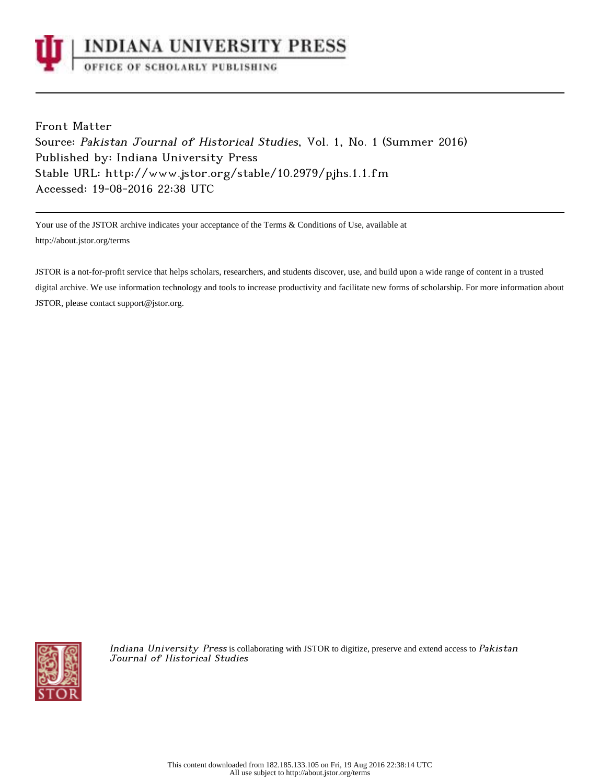

### Front Matter Source: Pakistan Journal of Historical Studies, Vol. 1, No. 1 (Summer 2016) Published by: Indiana University Press Stable URL: http://www.jstor.org/stable/10.2979/pjhs.1.1.fm Accessed: 19-08-2016 22:38 UTC

Your use of the JSTOR archive indicates your acceptance of the Terms & Conditions of Use, available at http://about.jstor.org/terms

JSTOR is a not-for-profit service that helps scholars, researchers, and students discover, use, and build upon a wide range of content in a trusted digital archive. We use information technology and tools to increase productivity and facilitate new forms of scholarship. For more information about JSTOR, please contact support@jstor.org.



Indiana University Press is collaborating with JSTOR to digitize, preserve and extend access to Pakistan Journal of Historical Studies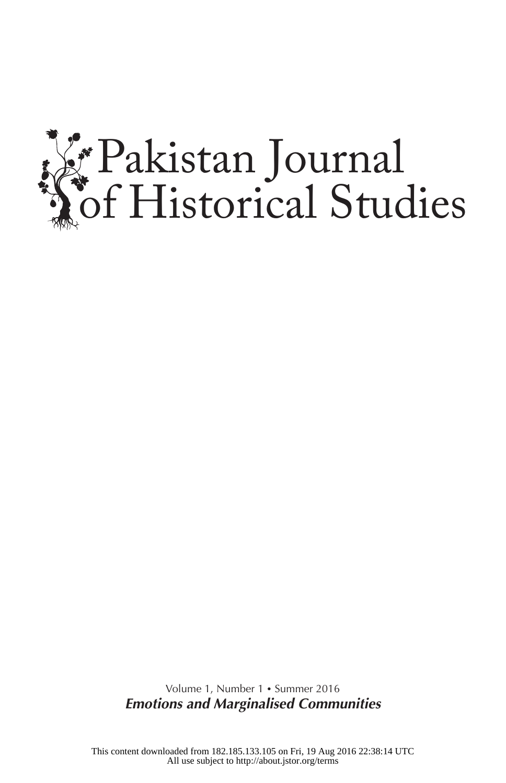

Volume 1, Number 1 • Summer 2016 *Emotions and Marginalised Communities*

This content downloaded from 182.185.133.105 on Fri, 19 Aug 2016 22:38:14 UTC All use subject to http://about.jstor.org/terms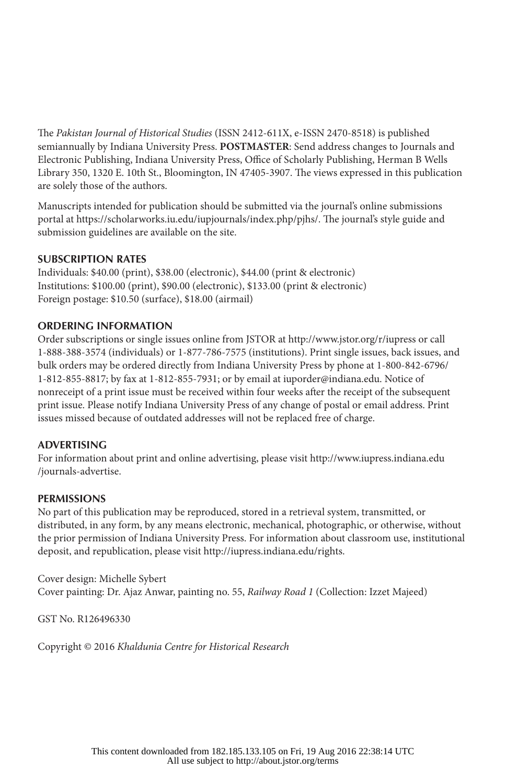The Pakistan Journal of Historical Studies (ISSN 2412-611X, e-ISSN 2470-8518) is published semiannually by Indiana University Press. **POSTMASTER**: Send address changes to Journals and Electronic Publishing, Indiana University Press, Office of Scholarly Publishing, Herman B Wells Library 350, 1320 E. 10th St., Bloomington, IN 47405-3907. The views expressed in this publication are solely those of the authors.

Manuscripts intended for publication should be submitted via the journal's online submissions portal at https://scholarworks.iu.edu/iupjournals/index.php/pjhs/. The journal's style guide and submission guidelines are available on the site.

#### **SUBSCRIPTION RATES**

Individuals: \$40.00 (print), \$38.00 (electronic), \$44.00 (print & electronic) Institutions: \$100.00 (print), \$90.00 (electronic), \$133.00 (print & electronic) Foreign postage: \$10.50 (surface), \$18.00 (airmail)

#### **ORDERING INFORMATION**

Order subscriptions or single issues online from JSTOR at http://www.jstor.org/r/iupress or call 1-888-388-3574 (individuals) or 1-877-786-7575 (institutions). Print single issues, back issues, and bulk orders may be ordered directly from Indiana University Press by phone at 1-800-842-6796/ 1-812-855-8817; by fax at 1-812-855-7931; or by email at iuporder@indiana.edu. Notice of nonreceipt of a print issue must be received within four weeks after the receipt of the subsequent print issue. Please notify Indiana University Press of any change of postal or email address. Print issues missed because of outdated addresses will not be replaced free of charge.

#### **ADVERTISING**

For information about print and online advertising, please visit http://www.iupress.indiana.edu /journals-advertise.

#### **PERMISSIONS**

No part of this publication may be reproduced, stored in a retrieval system, transmitted, or distributed, in any form, by any means electronic, mechanical, photographic, or otherwise, without the prior permission of Indiana University Press. For information about classroom use, institutional deposit, and republication, please visit http://iupress.indiana.edu/rights.

Cover design: Michelle Sybert Cover painting: Dr. Ajaz Anwar, painting no. 55, *Railway Road 1* (Collection: Izzet Majeed)

GST No. R126496330

Copyright © 2016 *Khaldunia Centre for Historical Research*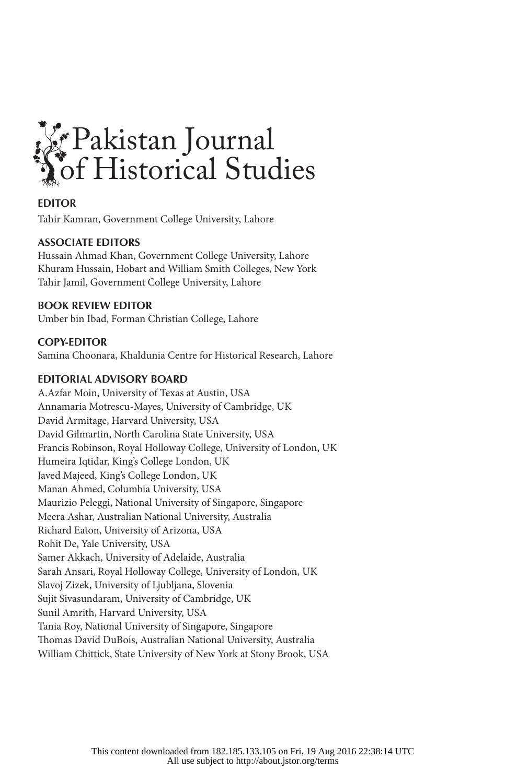

#### **EDITOR**

Tahir Kamran, Government College University, Lahore

#### **ASSOCIATE EDITORS**

Hussain Ahmad Khan, Government College University, Lahore Khuram Hussain, Hobart and William Smith Colleges, New York Tahir Jamil, Government College University, Lahore

#### **BOOK REVIEW EDITOR**

Umber bin Ibad, Forman Christian College, Lahore

#### **COPY-EDITOR**

Samina Choonara, Khaldunia Centre for Historical Research, Lahore

#### **EDITORIAL ADVISORY BOARD**

A.Azfar Moin, University of Texas at Austin, USA Annamaria Motrescu-Mayes, University of Cambridge, UK David Armitage, Harvard University, USA David Gilmartin, North Carolina State University, USA Francis Robinson, Royal Holloway College, University of London, UK Humeira Iqtidar, King's College London, UK Javed Majeed, King's College London, UK Manan Ahmed, Columbia University, USA Maurizio Peleggi, National University of Singapore, Singapore Meera Ashar, Australian National University, Australia Richard Eaton, University of Arizona, USA Rohit De, Yale University, USA Samer Akkach, University of Adelaide, Australia Sarah Ansari, Royal Holloway College, University of London, UK Slavoj Zizek, University of Ljubljana, Slovenia Sujit Sivasundaram, University of Cambridge, UK Sunil Amrith, Harvard University, USA Tania Roy, National University of Singapore, Singapore Thomas David DuBois, Australian National University, Australia William Chittick, State University of New York at Stony Brook, USA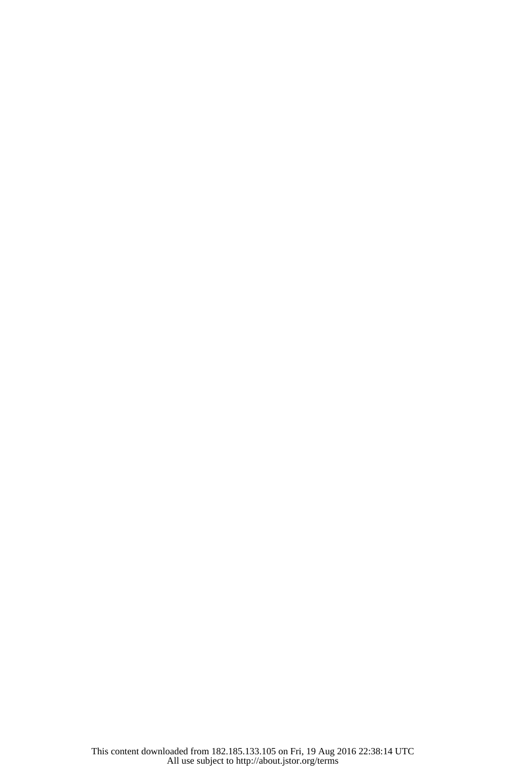This content downloaded from 182.185.133.105 on Fri, 19 Aug 2016 22:38:14 UTC All use subject to http://about.jstor.org/terms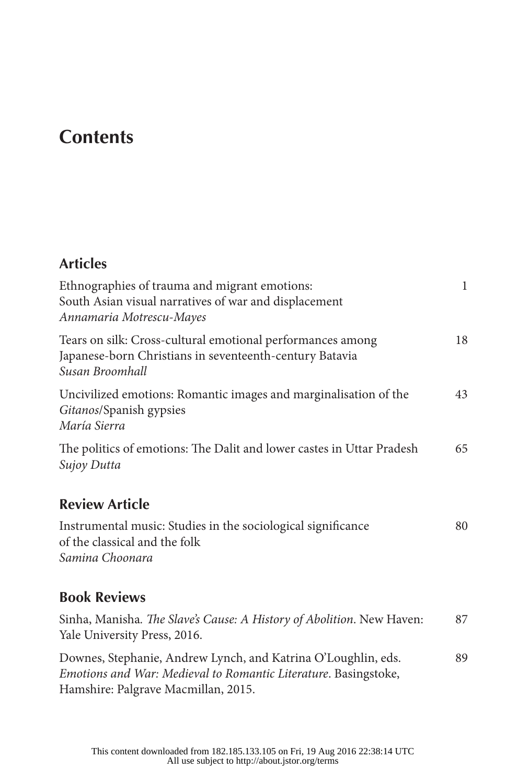# **Contents**

**Articles**

## Ethnographies of trauma and migrant emotions: 1 South Asian visual narratives of war and displacement *Annamaria Motrescu-Mayes* Tears on silk: Cross-cultural emotional performances among 18 Japanese-born Christians in seventeenth-century Batavia *Susan Broomhall* Uncivilized emotions: Romantic images and marginalisation of the 43 *Gitanos*/Spanish gypsies *María Sierra* The politics of emotions: The Dalit and lower castes in Uttar Pradesh 65 *Sujoy Dutta* **Review Article** Instrumental music: Studies in the sociological significance 80 of the classical and the folk *Samina Choonara* **Book Reviews** Sinha, Manisha. The Slave's Cause: A History of Abolition. New Haven: 87 Yale University Press, 2016. Downes, Stephanie, Andrew Lynch, and Katrina O'Loughlin, eds. 89 *Emotions and War: Medieval to Romantic Literature*. Basingstoke, Hamshire: Palgrave Macmillan, 2015.